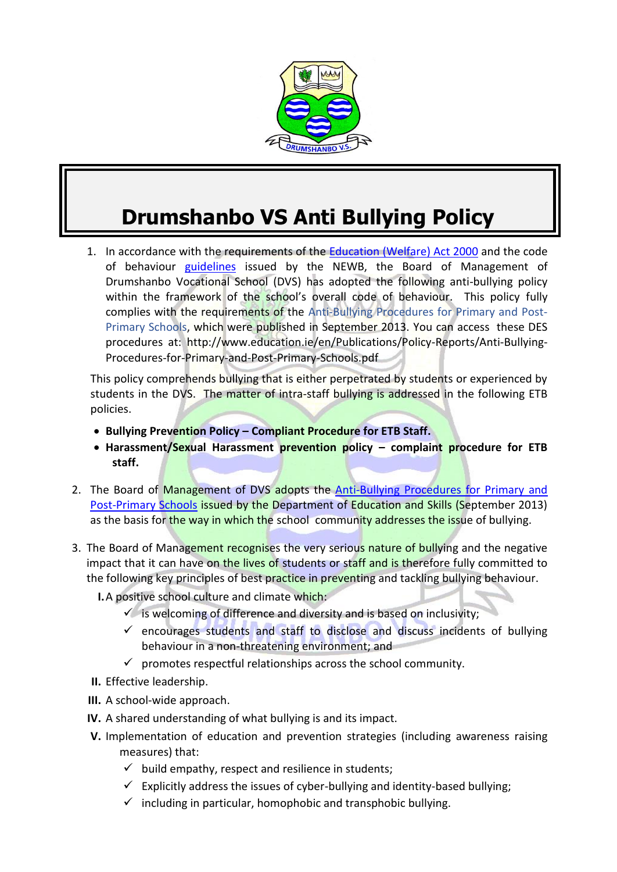

# **Drumshanbo VS Anti Bullying Policy**

1. In accordance with the requirements of the [Education \(Welfare\) Act 2000](http://www.irishstatutebook.ie/2000/en/act/pub/0022/) and the code of behaviour [guidelines](http://www.etbi.ie/uploads/1/2/0/1/12012149/guidelines_school_codes_eng.pdf) issued by the NEWB, the Board of Management of Drumshanbo Vocational School (DVS) has adopted the following anti-bullying policy within the framework of the school's overall code of behaviour. This policy fully complies with the requirements of the Anti-Bullying Procedures for Primary and Post-Primary Schools, which were published in September 2013. You can access these DES procedures at: http://www.education.ie/en/Publications/Policy-Reports/Anti-Bullying-Procedures-for-Primary-and-Post-Primary-Schools.pdf

This policy comprehends bullying that is either perpetrated by students or experienced by students in the DVS. The matter of intra-staff bullying is addressed in the following ETB policies.

- **Bullying Prevention Policy – Compliant Procedure for ETB Staff.**
- **Harassment/Sexual Harassment prevention policy – complaint procedure for ETB staff.**
- 2. The Board of Management of DVS adopts the Anti-Bullying Procedures for Primary and [Post-Primary Schools](http://www.education.ie/en/Publications/Policy-Reports/Anti-Bullying-Procedures-for-Primary-and-Post-Primary-Schools.pdf) issued by the Department of Education and Skills (September 2013) as the basis for the way in which the school community addresses the issue of bullying.
- 3. The Board of Management recognises the very serious nature of bullying and the negative impact that it can have on the lives of students or staff and is therefore fully committed to the following key principles of best practice in preventing and tackling bullying behaviour.
	- **I.**A positive school culture and climate which:
		- $\checkmark$  is welcoming of difference and diversity and is based on inclusivity;
		- $\checkmark$  encourages students and staff to disclose and discuss incidents of bullying behaviour in a non-threatening environment; and
		- $\checkmark$  promotes respectful relationships across the school community.
	- **II.** Effective leadership.
	- **III.** A school-wide approach.
	- **IV.** A shared understanding of what bullying is and its impact.
	- **V.** Implementation of education and prevention strategies (including awareness raising measures) that:
		- $\checkmark$  build empathy, respect and resilience in students;
		- $\checkmark$  Explicitly address the issues of cyber-bullying and identity-based bullying;
		- $\checkmark$  including in particular, homophobic and transphobic bullying.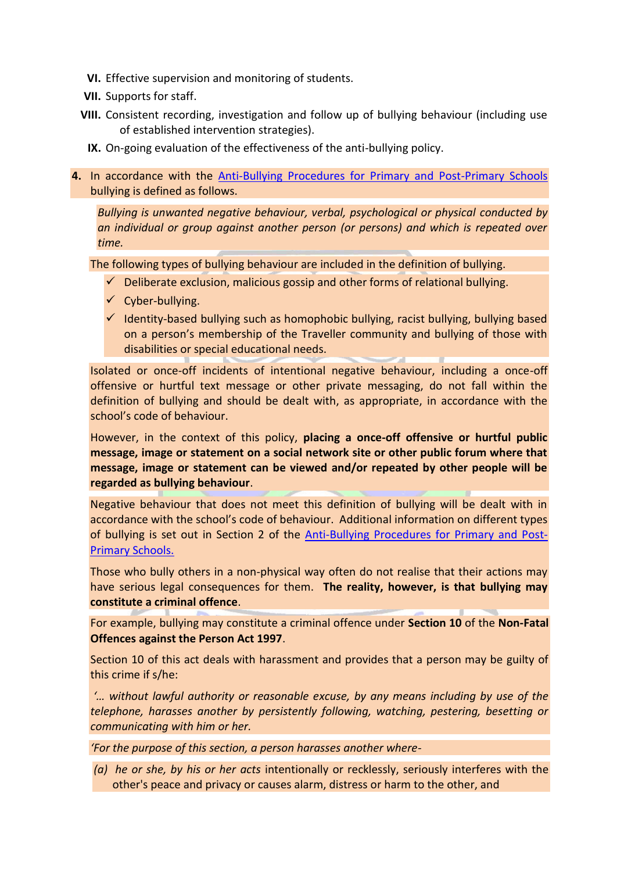- **VI.** Effective supervision and monitoring of students.
- **VII.** Supports for staff.
- **VIII.** Consistent recording, investigation and follow up of bullying behaviour (including use of established intervention strategies).
	- **IX.** On-going evaluation of the effectiveness of the anti-bullying policy.
- **4.** In accordance with the [Anti-Bullying Procedures for Primary and Post-Primary Schools](http://www.education.ie/en/Publications/Policy-Reports/Anti-Bullying-Procedures-for-Primary-and-Post-Primary-Schools.pdf) bullying is defined as follows.

*Bullying is unwanted negative behaviour, verbal, psychological or physical conducted by an individual or group against another person (or persons) and which is repeated over time.*

The following types of bullying behaviour are included in the definition of bullying.

- $\checkmark$  Deliberate exclusion, malicious gossip and other forms of relational bullying.
- $\checkmark$  Cyber-bullying.
- $\checkmark$  Identity-based bullying such as homophobic bullying, racist bullying, bullying based on a person's membership of the Traveller community and bullying of those with disabilities or special educational needs.

Isolated or once-off incidents of intentional negative behaviour, including a once-off offensive or hurtful text message or other private messaging, do not fall within the definition of bullying and should be dealt with, as appropriate, in accordance with the school's code of behaviour.

However, in the context of this policy, **placing a once-off offensive or hurtful public message, image or statement on a social network site or other public forum where that message, image or statement can be viewed and/or repeated by other people will be regarded as bullying behaviour**.

Negative behaviour that does not meet this definition of bullying will be dealt with in accordance with the school's code of behaviour. Additional information on different types of bullying is set out in Section 2 of the [Anti-Bullying Procedures for Primary and Post-](http://www.education.ie/en/Publications/Policy-Reports/Anti-Bullying-Procedures-for-Primary-and-Post-Primary-Schools.pdf)[Primary Schools.](http://www.education.ie/en/Publications/Policy-Reports/Anti-Bullying-Procedures-for-Primary-and-Post-Primary-Schools.pdf)

Those who bully others in a non-physical way often do not realise that their actions may have serious legal consequences for them. **The reality, however, is that bullying may constitute a criminal offence**.

For example, bullying may constitute a criminal offence under **Section 10** of the **Non-Fatal Offences against the Person Act 1997**.

Section 10 of this act deals with harassment and provides that a person may be guilty of this crime if s/he:

*'… without lawful authority or reasonable excuse, by any means including by use of the telephone, harasses another by persistently following, watching, pestering, besetting or communicating with him or her.*

*'For the purpose of this section, a person harasses another where-*

*(a) he or she, by his or her acts* intentionally or recklessly, seriously interferes with the other's peace and privacy or causes alarm, distress or harm to the other, and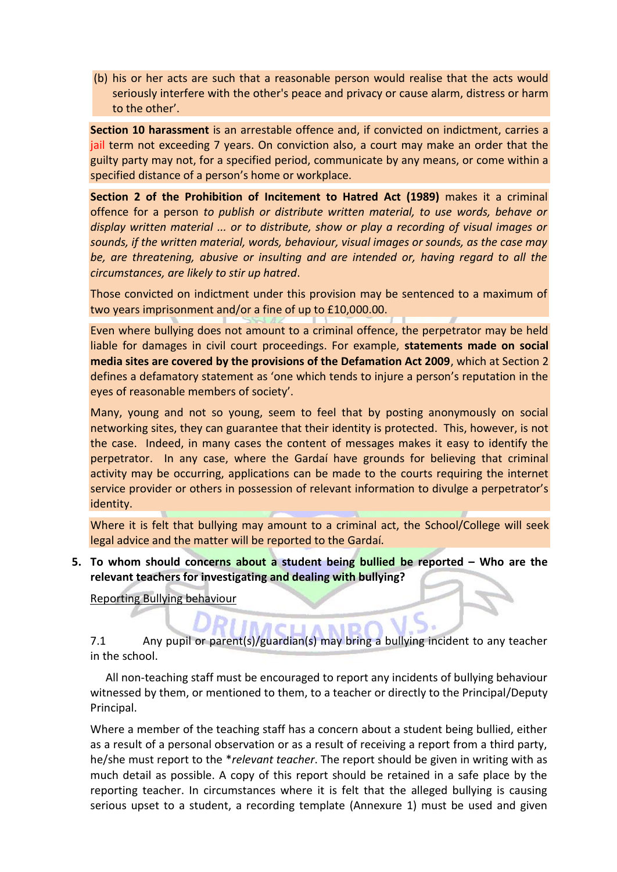(b) his or her acts are such that a reasonable person would realise that the acts would seriously interfere with the other's peace and privacy or cause alarm, distress or harm to the other'.

**Section 10 harassment** is an arrestable offence and, if convicted on indictment, carries a jail term not exceeding 7 years. On conviction also, a court may make an order that the guilty party may not, for a specified period, communicate by any means, or come within a specified distance of a person's home or workplace.

**Section 2 of the Prohibition of Incitement to Hatred Act (1989)** makes it a criminal offence for a person *to publish or distribute written material, to use words, behave or display written material ... or to distribute, show or play a recording of visual images or sounds, if the written material, words, behaviour, visual images or sounds, as the case may be, are threatening, abusive or insulting and are intended or, having regard to all the circumstances, are likely to stir up hatred*.

Those convicted on indictment under this provision may be sentenced to a maximum of two years imprisonment and/or a fine of up to £10,000.00.

Even where bullying does not amount to a criminal offence, the perpetrator may be held liable for damages in civil court proceedings. For example, **statements made on social media sites are covered by the provisions of the Defamation Act 2009**, which at Section 2 defines a defamatory statement as 'one which tends to injure a person's reputation in the eyes of reasonable members of society'.

Many, young and not so young, seem to feel that by posting anonymously on social networking sites, they can guarantee that their identity is protected. This, however, is not the case. Indeed, in many cases the content of messages makes it easy to identify the perpetrator. In any case, where the Gardaí have grounds for believing that criminal activity may be occurring, applications can be made to the courts requiring the internet service provider or others in possession of relevant information to divulge a perpetrator's identity.

Where it is felt that bullying may amount to a criminal act, the School/College will seek legal advice and the matter will be reported to the Gardaí.

**5.** To whom should concerns about a student being bullied be reported – Who are the **relevant teachers for investigating and dealing with bullying?** 

### Reporting Bullying behaviour

 $\epsilon$  . 7.1 Any pupil or parent(s)/guardian(s) may bring a bullying incident to any teacher in the school.

All non-teaching staff must be encouraged to report any incidents of bullying behaviour witnessed by them, or mentioned to them, to a teacher or directly to the Principal/Deputy Principal.

Where a member of the teaching staff has a concern about a student being bullied, either as a result of a personal observation or as a result of receiving a report from a third party, he/she must report to the \**relevant teacher*. The report should be given in writing with as much detail as possible. A copy of this report should be retained in a safe place by the reporting teacher. In circumstances where it is felt that the alleged bullying is causing serious upset to a student, a recording template (Annexure 1) must be used and given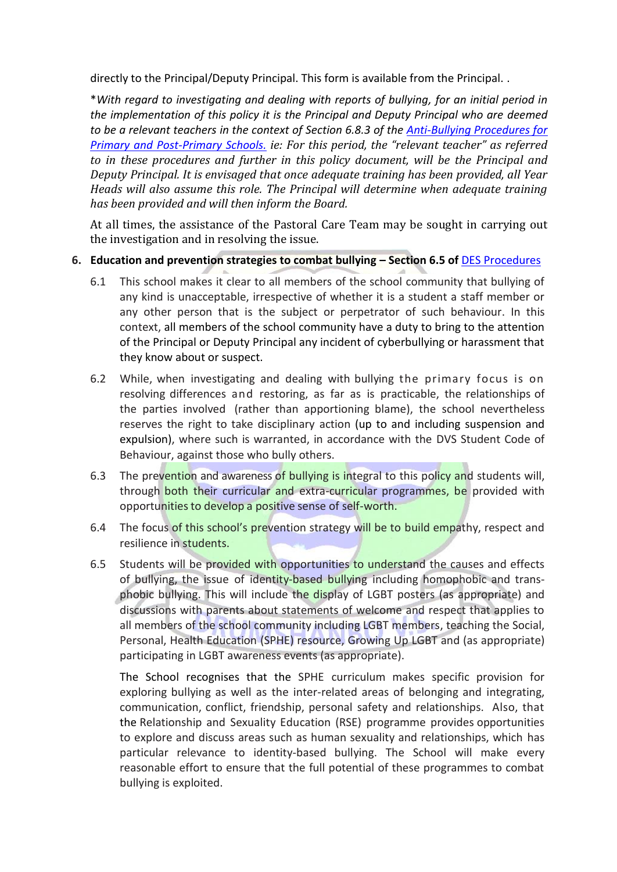directly to the Principal/Deputy Principal. This form is available from the Principal. .

\**With regard to investigating and dealing with reports of bullying, for an initial period in the implementation of this policy it is the Principal and Deputy Principal who are deemed to be a relevant teachers in the context of Section 6.8.3 of the [Anti-Bullying Procedures for](http://www.education.ie/en/Publications/Policy-Reports/Anti-Bullying-Procedures-for-Primary-and-Post-Primary-Schools.pdf)  [Primary and Post-Primary Schools.](http://www.education.ie/en/Publications/Policy-Reports/Anti-Bullying-Procedures-for-Primary-and-Post-Primary-Schools.pdf) ie: For this period, the "relevant teacher" as referred to in these procedures and further in this policy document, will be the Principal and Deputy Principal. It is envisaged that once adequate training has been provided, all Year Heads will also assume this role. The Principal will determine when adequate training has been provided and will then inform the Board.*

At all times, the assistance of the Pastoral Care Team may be sought in carrying out the investigation and in resolving the issue.

### **6. Education and prevention strategies to combat bullying – Section 6.5 of** DES Procedures

- 6.1 This school makes it clear to all members of the school community that bullying of any kind is unacceptable, irrespective of whether it is a student a staff member or any other person that is the subject or perpetrator of such behaviour. In this context, all members of the school community have a duty to bring to the attention of the Principal or Deputy Principal any incident of cyberbullying or harassment that they know about or suspect.
- 6.2 While, when investigating and dealing with bullying the primary focus is on resolving differences and restoring, as far as is practicable, the relationships of the parties involved (rather than apportioning blame), the school nevertheless reserves the right to take disciplinary action (up to and including suspension and expulsion), where such is warranted, in accordance with the DVS Student Code of Behaviour, against those who bully others.
- 6.3 The prevention and awareness of bullying is integral to this policy and students will, through both their curricular and extra-curricular programmes, be provided with opportunities to develop a positive sense of self-worth.
- 6.4 The focus of this school's prevention strategy will be to build empathy, respect and resilience in students.
- 6.5 Students will be provided with opportunities to understand the causes and effects of bullying, the issue of identity-based bullying including homophobic and transphobic bullying. This will include the display of LGBT posters (as appropriate) and discussions with parents about statements of welcome and respect that applies to all members of the school community including LGBT members, teaching the Social, Personal, Health Education (SPHE) resource, Growing Up LGBT and (as appropriate) participating in LGBT awareness events (as appropriate).

The School recognises that the SPHE curriculum makes specific provision for exploring bullying as well as the inter-related areas of belonging and integrating, communication, conflict, friendship, personal safety and relationships. Also, that the Relationship and Sexuality Education (RSE) programme provides opportunities to explore and discuss areas such as human sexuality and relationships, which has particular relevance to identity-based bullying. The School will make every reasonable effort to ensure that the full potential of these programmes to combat bullying is exploited.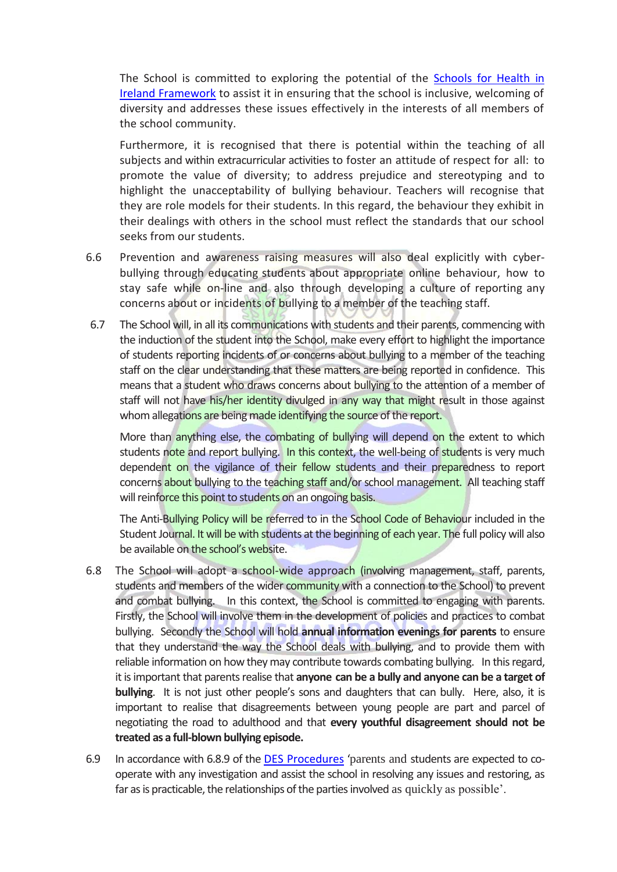The School is committed to exploring the potential of the [Schools for Health in](http://www.healthpromotion.ie/hp-files/docs/HPM00839.pdf)  **[Ireland Framework](http://www.healthpromotion.ie/hp-files/docs/HPM00839.pdf)** to assist it in ensuring that the school is inclusive, welcoming of diversity and addresses these issues effectively in the interests of all members of the school community.

Furthermore, it is recognised that there is potential within the teaching of all subjects and within extracurricular activities to foster an attitude of respect for all: to promote the value of diversity; to address prejudice and stereotyping and to highlight the unacceptability of bullying behaviour. Teachers will recognise that they are role models for their students. In this regard, the behaviour they exhibit in their dealings with others in the school must reflect the standards that our school seeks from our students.

- 6.6 Prevention and awareness raising measures will also deal explicitly with cyberbullying through educating students about appropriate online behaviour, how to stay safe while on-line and also through developing a culture of reporting any concerns about or incidents of bullying to a member of the teaching staff.
- 6.7 The School will, in all its communications with students and their parents, commencing with the induction of the student into the School, make every effort to highlight the importance of students reporting incidents of or concerns about bullying to a member of the teaching staff on the clear understanding that these matters are being reported in confidence. This means that a student who draws concerns about bullying to the attention of a member of staff will not have his/her identity divulged in any way that might result in those against whom allegations are being made identifying the source of the report.

More than anything else, the combating of bullying will depend on the extent to which students note and report bullying. In this context, the well-being of students is very much dependent on the vigilance of their fellow students and their preparedness to report concerns about bullying to the teaching staff and/or school management. All teaching staff will reinforce this point to students on an ongoing basis.

The Anti-Bullying Policy will be referred to in the School Code of Behaviour included in the Student Journal. It will be with students at the beginning of each year. The full policy will also be available on the school's website.

- 6.8 The School will adopt a school-wide approach (involving management, staff, parents, students and members of the wider community with a connection to the School) to prevent and combat bullying. In this context, the School is committed to engaging with parents. Firstly, the School will involve them in the development of policies and practices to combat bullying. Secondly the School will hold **annual information evenings for parents** to ensure that they understand the way the School deals with bullying, and to provide them with reliable information on how they may contribute towards combating bullying. In this regard, it is important that parents realise that **anyone can be a bully and anyone can be a target of bullying**. It is not just other people's sons and daughters that can bully. Here, also, it is important to realise that disagreements between young people are part and parcel of negotiating the road to adulthood and that **every youthful disagreement should not be treated as a full-blown bullying episode.**
- 6.9 In accordance with 6.8.9 of the [DES Procedures](http://www.education.ie/en/Publications/Policy-Reports/Anti-Bullying-Procedures-for-Primary-and-Post-Primary-Schools.pdf) 'parents and students are expected to cooperate with any investigation and assist the school in resolving any issues and restoring, as far as is practicable, the relationships of the parties involved as quickly as possible'.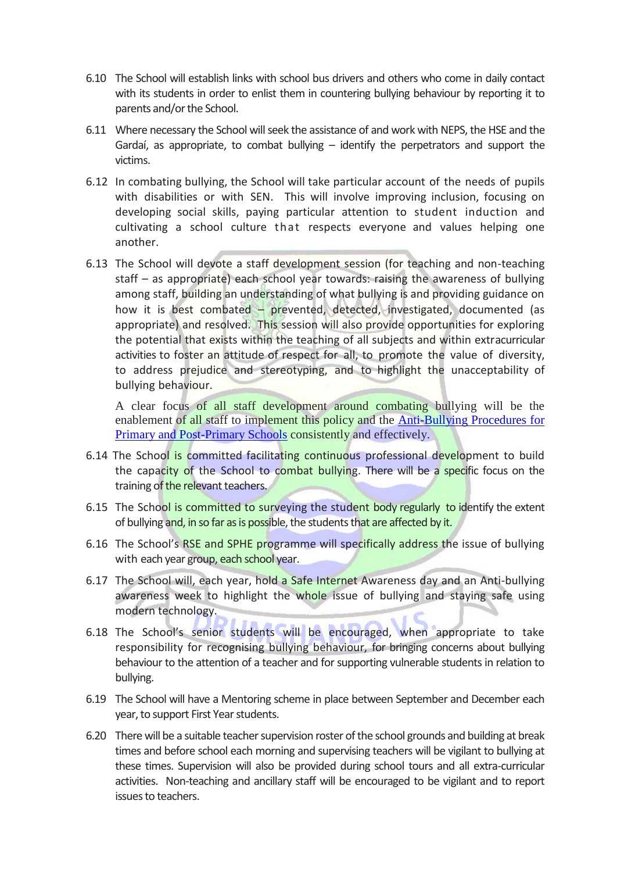- 6.10 The School will establish links with school bus drivers and others who come in daily contact with its students in order to enlist them in countering bullying behaviour by reporting it to parents and/or the School.
- 6.11 Where necessary the School will seek the assistance of and work with NEPS, the HSE and the Gardaí, as appropriate, to combat bullying – identify the perpetrators and support the victims.
- 6.12 In combating bullying, the School will take particular account of the needs of pupils with disabilities or with SEN. This will involve improving inclusion, focusing on developing social skills, paying particular attention to student induction and cultivating a school culture that respects everyone and values helping one another.
- 6.13 The School will devote a staff development session (for teaching and non-teaching staff – as appropriate) each school year towards: raising the awareness of bullying among staff, building an understanding of what bullying is and providing guidance on how it is best combated – prevented, detected, investigated, documented (as appropriate) and resolved. This session will also provide opportunities for exploring the potential that exists within the teaching of all subjects and within extracurricular activities to foster an attitude of respect for all, to promote the value of diversity, to address prejudice and stereotyping, and to highlight the unacceptability of bullying behaviour.

A clear focus of all staff development around combating bullying will be the enablement of all staff to implement this policy and the [Anti-Bullying Procedures for](file:///C:/Users/p.omahony/AppData/Local/Microsoft/Windows/AppData/Local/Downloads/Anti-Bullying%20Procedures%20for%20Primary%20and%20Post-Primary%20Schools)  [Primary and Post-Primary Schools](file:///C:/Users/p.omahony/AppData/Local/Microsoft/Windows/AppData/Local/Downloads/Anti-Bullying%20Procedures%20for%20Primary%20and%20Post-Primary%20Schools) consistently and effectively.

- 6.14 The School is committed facilitating continuous professional development to build the capacity of the School to combat bullying. There will be a specific focus on the training of the relevant teachers.
- <span id="page-5-0"></span>6.15 The School is committed to surveying the student body regularly to identify the extent of bullying and, in so far as is possible, the students that are affected by it.
- 6.16 The School's RSE and SPHE programme will specifically address the issue of bullying with each year group, each school year.
- 6.17 The School will, each year, hold a Safe Internet Awareness day and an Anti-bullying awareness week to highlight the whole issue of bullying and staying safe using modern technology.
- 6.18 The School's senior students will be encouraged, when appropriate to take responsibility for recognising bullying behaviour, for bringing concerns about bullying behaviour to the attention of a teacher and for supporting vulnerable students in relation to bullying.
- 6.19 The School will have a Mentoring scheme in place between September and December each year, to support First Year students.
- 6.20 There will be a suitable teacher supervision roster of the school grounds and building at break times and before school each morning and supervising teachers will be vigilant to bullying at these times. Supervision will also be provided during school tours and all extra-curricular activities. Non-teaching and ancillary staff will be encouraged to be vigilant and to report issues to teachers.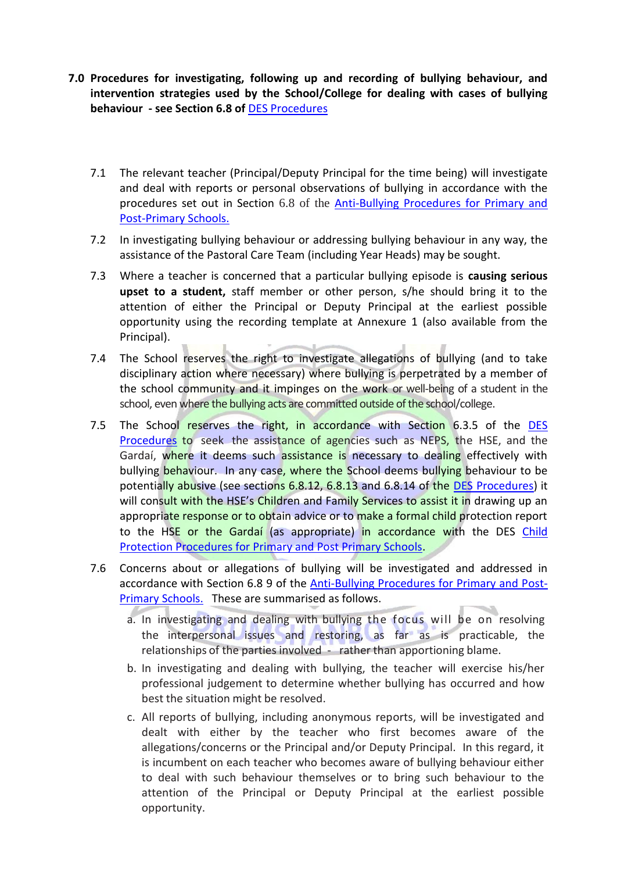- <span id="page-6-1"></span><span id="page-6-0"></span>**7.0 Procedures for investigating, following up and recording of bullying behaviour, and intervention strategies used by the School/College for dealing with cases of bullying behaviour - see Section 6.8 of** DES Procedures
	- 7.1 The relevant teacher (Principal/Deputy Principal for the time being) will investigate and deal with reports or personal observations of bullying in accordance with the procedures set out in Section 6.8 of the [Anti-Bullying Procedures for Primary and](http://www.education.ie/en/Publications/Policy-Reports/Anti-Bullying-Procedures-for-Primary-and-Post-Primary-Schools.pdf)  [Post-Primary Schools.](http://www.education.ie/en/Publications/Policy-Reports/Anti-Bullying-Procedures-for-Primary-and-Post-Primary-Schools.pdf)
	- 7.2 In investigating bullying behaviour or addressing bullying behaviour in any way, the assistance of the Pastoral Care Team (including Year Heads) may be sought.
	- 7.3 Where a teacher is concerned that a particular bullying episode is **causing serious upset to a student,** staff member or other person, s/he should bring it to the attention of either the Principal or Deputy Principal at the earliest possible opportunity using the recording template at Annexure 1 (also available from the Principal).
	- 7.4 The School reserves the right to investigate allegations of bullying (and to take disciplinary action where necessary) where bullying is perpetrated by a member of the school community and it impinges on the work or well-being of a student in the school, even where the bullying acts are committed outside of the school/college.
	- 7.5 The School reserves the right, in accordance with Section 6.3.5 of the DES Procedures to seek the assistance of agencies such as NEPS, the HSE, and the Gardaí, where it deems such assistance is necessary to dealing effectively with bullying behaviour. In any case, where the School deems bullying behaviour to be potentially abusive (see sections 6.8.12, 6.8.13 and 6.8.14 of the DES Procedures) it will consult with the HSE's Children and Family Services to assist it in drawing up an appropriate response or to obtain advice or to make a formal child protection report to the HSE or the Gardaí (as appropriate) in accordance with the DES Child [Protection Procedures for Primary and Post Primary Schools.](http://www.education.ie/en/Schools-Colleges/Information/Child-Protection/cp_procedures_primary_post_primary_2011.pdf)
	- 7.6 Concerns about or allegations of bullying will be investigated and addressed in accordance with Section 6.8 9 of the [Anti-Bullying Procedures for Primary and Post-](http://www.education.ie/en/Publications/Policy-Reports/Anti-Bullying-Procedures-for-Primary-and-Post-Primary-Schools.pdf)[Primary Schools.](http://www.education.ie/en/Publications/Policy-Reports/Anti-Bullying-Procedures-for-Primary-and-Post-Primary-Schools.pdf) These are summarised as follows.
		- a. In investigating and dealing with bullying the focus will be on resolving the interpersonal issues and restoring, as far as is practicable, the relationships of the parties involved - rather than apportioning blame.
		- b. In investigating and dealing with bullying, the teacher will exercise his/her professional judgement to determine whether bullying has occurred and how best the situation might be resolved.
		- c. All reports of bullying, including anonymous reports, will be investigated and dealt with either by the teacher who first becomes aware of the allegations/concerns or the Principal and/or Deputy Principal. In this regard, it is incumbent on each teacher who becomes aware of bullying behaviour either to deal with such behaviour themselves or to bring such behaviour to the attention of the Principal or Deputy Principal at the earliest possible opportunity.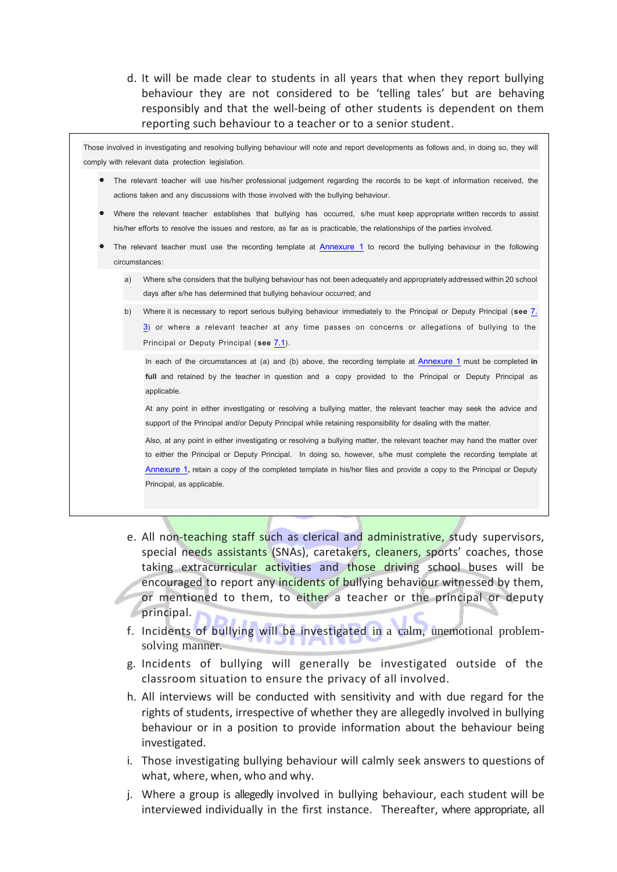d. It will be made clear to students in all years that when they report bullying behaviour they are not considered to be 'telling tales' but are behaving responsibly and that the well-being of other students is dependent on them reporting such behaviour to a teacher or to a senior student.

Those involved in investigating and resolving bullying behaviour will note and report developments as follows and, in doing so, they will comply with relevant data protection legislation.

- The relevant teacher will use his/her professional judgement regarding the records to be kept of information received, the actions taken and any discussions with those involved with the bullying behaviour.
- Where the relevant teacher establishes that bullying has occurred, s/he must keep appropriate written records to assist his/her efforts to resolve the issues and restore, as far as is practicable, the relationships of the parties involved.
- The relevant teacher must use the recording template at [Annexure 1](#page-12-0) to record the bullying behaviour in the following circumstances:
	- a) Where s/he considers that the bullying behaviour has not been adequately and appropriately addressed within 20 school days after s/he has determined that bullying behaviour occurred; and
	- b) Where it is necessary to report serious bullying behaviour immediately to the Principal or Deputy Principal (**see** [7.](#page-6-0)  [3](#page-6-0)) or where a relevant teacher at any time passes on concerns or allegations of bullying to the Principal or Deputy Principal (**see** [7.1](#page-6-1)).

In each of the circumstances at (a) and (b) above, the recording template at [Annexure 1](#page-12-0) must be completed **in full** and retained by the teacher in question and a copy provided to the Principal or Deputy Principal as applicable.

At any point in either investigating or resolving a bullying matter, the relevant teacher may seek the advice and support of the Principal and/or Deputy Principal while retaining responsibility for dealing with the matter.

Also, at any point in either investigating or resolving a bullying matter, the relevant teacher may hand the matter over to either the Principal or Deputy Principal. In doing so, however, s/he must complete the recording template at [Annexure 1](#page-12-0)**,** retain a copy of the completed template in his/her files and provide a copy to the Principal or Deputy Principal, as applicable.

- e. All non-teaching staff such as clerical and administrative, study supervisors, special needs assistants (SNAs), caretakers, cleaners, sports' coaches, those taking extracurricular activities and those driving school buses will be encouraged to report any incidents of bullying behaviour witnessed by them, or mentioned to them, to either a teacher or the principal or deputy principal.
- f. Incidents of bullying will be investigated in a calm, unemotional problemsolving manner.
- g. Incidents of bullying will generally be investigated outside of the classroom situation to ensure the privacy of all involved.
- h. All interviews will be conducted with sensitivity and with due regard for the rights of students, irrespective of whether they are allegedly involved in bullying behaviour or in a position to provide information about the behaviour being investigated.
- i. Those investigating bullying behaviour will calmly seek answers to questions of what, where, when, who and why.
- j. Where a group is allegedly involved in bullying behaviour, each student will be interviewed individually in the first instance. Thereafter, where appropriate, all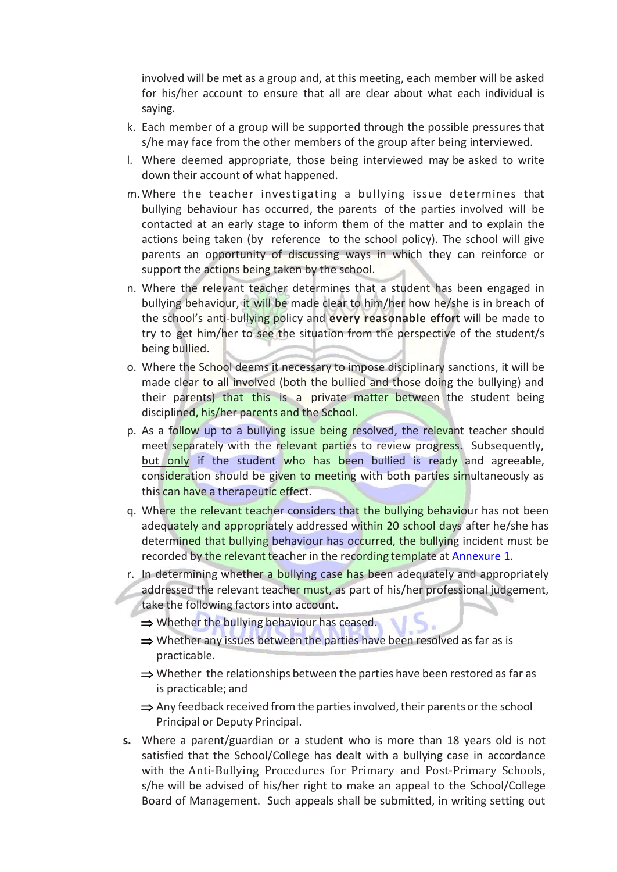involved will be met as a group and, at this meeting, each member will be asked for his/her account to ensure that all are clear about what each individual is saying.

- k. Each member of a group will be supported through the possible pressures that s/he may face from the other members of the group after being interviewed.
- l. Where deemed appropriate, those being interviewed may be asked to write down their account of what happened.
- m.Where the teacher investigating a bullying issue determines that bullying behaviour has occurred, the parents of the parties involved will be contacted at an early stage to inform them of the matter and to explain the actions being taken (by reference to the school policy). The school will give parents an opportunity of discussing ways in which they can reinforce or support the actions being taken by the school.
- n. Where the relevant teacher determines that a student has been engaged in bullying behaviour, it will be made clear to him/her how he/she is in breach of the school's anti-bullying policy and **every reasonable effort** will be made to try to get him/her to see the situation from the perspective of the student/s being bullied.
- o. Where the School deems it necessary to impose disciplinary sanctions, it will be made clear to all involved (both the bullied and those doing the bullying) and their parents) that this is a private matter between the student being disciplined, his/her parents and the School.
- p. As a follow up to a bullying issue being resolved, the relevant teacher should meet separately with the relevant parties to review progress. Subsequently, but only if the student who has been bullied is ready and agreeable, consideration should be given to meeting with both parties simultaneously as this can have a therapeutic effect.
- q. Where the relevant teacher considers that the bullying behaviour has not been adequately and appropriately addressed within 20 school days after he/she has determined that bullying behaviour has occurred, the bullying incident must be recorded by the relevant teacher in the recording template at [Annexure 1.](#page-12-0)
- r. In determining whether a bullying case has been adequately and appropriately addressed the relevant teacher must, as part of his/her professional judgement, take the following factors into account.
	- ⇒ Whether the bullying behaviour has ceased.
	- $\Rightarrow$  Whether any issues between the parties have been resolved as far as is practicable.
	- $\Rightarrow$  Whether the relationships between the parties have been restored as far as is practicable; and
	- $\Rightarrow$  Any feedback received from the parties involved, their parents or the school Principal or Deputy Principal.
- **s.** Where a parent/guardian or a student who is more than 18 years old is not satisfied that the School/College has dealt with a bullying case in accordance with the [Anti-Bullying Procedures for Primary and Post-Primary Schools](http://www.education.ie/en/Publications/Policy-Reports/Anti-Bullying-Procedures-for-Primary-and-Post-Primary-Schools.pdf), s/he will be advised of his/her right to make an appeal to the School/College Board of Management. Such appeals shall be submitted, in writing setting out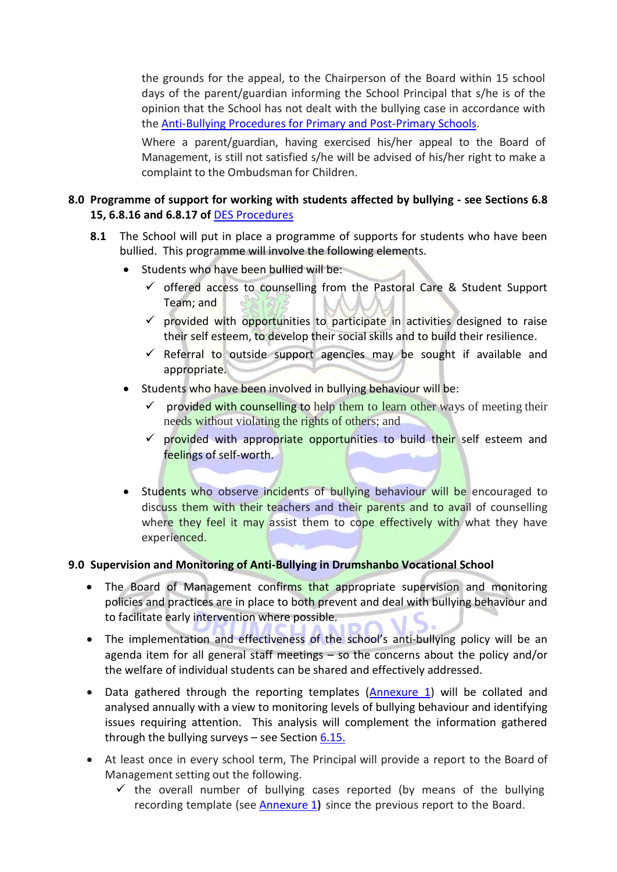the grounds for the appeal, to the Chairperson of the Board within 15 school days of the parent/guardian informing the School Principal that s/he is of the opinion that the School has not dealt with the bullying case in accordance with the [Anti-Bullying Procedures for Primary and Post-Primary Schools.](http://www.education.ie/en/Publications/Policy-Reports/Anti-Bullying-Procedures-for-Primary-and-Post-Primary-Schools.pdf)

Where a parent/guardian, having exercised his/her appeal to the Board of Management, is still not satisfied s/he will be advised of his/her right to make a complaint to the Ombudsman for Children.

### **8.0 Programme of support for working with students affected by bullying - see Sections 6.8 15, 6.8.16 and 6.8.17 of** DES Procedures

- **8.1** The School will put in place a programme of supports for students who have been bullied. This programme will involve the following elements.
	- Students who have been bullied will be:
		- $\checkmark$  offered access to counselling from the Pastoral Care & Student Support Team; and
		- $\checkmark$  provided with opportunities to participate in activities designed to raise their self esteem, to develop their social skills and to build their resilience.
		- $\checkmark$  Referral to outside support agencies may be sought if available and appropriate.
	- Students who have been involved in bullying behaviour will be:
		- provided with counselling to help them to learn other ways of meeting their needs without violating the rights of others; and
		- $\checkmark$  provided with appropriate opportunities to build their self esteem and feelings of self-worth.
	- Students who observe incidents of bullying behaviour will be encouraged to discuss them with their teachers and their parents and to avail of counselling where they feel it may assist them to cope effectively with what they have experienced.

### **9.0 Supervision and Monitoring of Anti-Bullying in Drumshanbo Vocational School**

- The Board of Management confirms that appropriate supervision and monitoring policies and practices are in place to both prevent and deal with bullying behaviour and to facilitate early intervention where possible.
- The implementation and effectiveness of the school's anti-bullying policy will be an agenda item for all general staff meetings – so the concerns about the policy and/or the welfare of individual students can be shared and effectively addressed.
- Data gathered through the reporting templates [\(Annexure 1\)](#page-12-0) will be collated and analysed annually with a view to monitoring levels of bullying behaviour and identifying issues requiring attention. This analysis will complement the information gathered through the bullying surveys  $-$  see Section [6.15.](#page-5-0)
- At least once in every school term, The Principal will provide a report to the Board of Management setting out the following.
	- $\checkmark$  the overall number of bullying cases reported (by means of the bullying recording template (see [Annexure 1](#page-12-0)**)** since the previous report to the Board.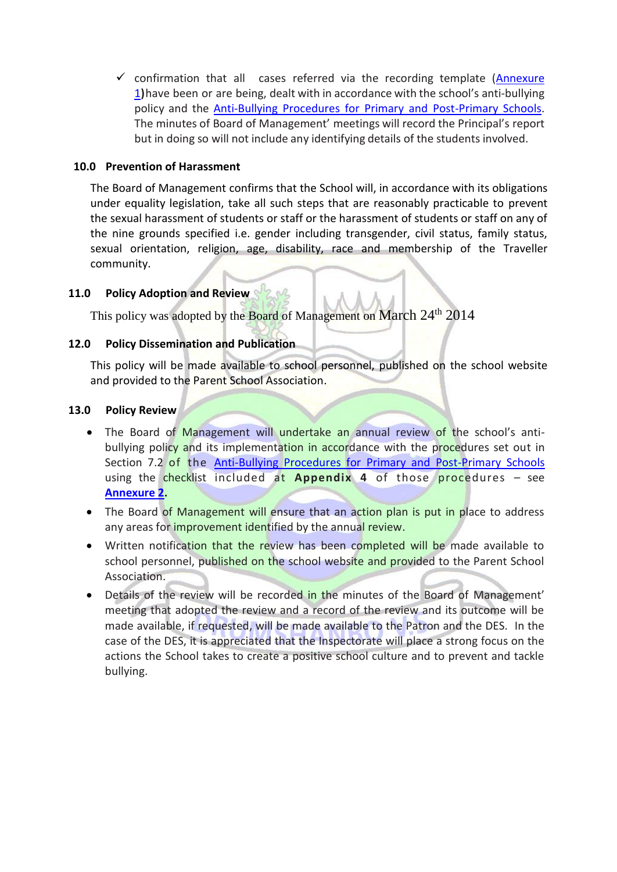$\checkmark$  confirmation that all cases referred via the recording template (Annexure [1](#page-12-0)**)**have been or are being, dealt with in accordance with the school's anti-bullying policy and the [Anti-Bullying Procedures for Primary and Post-Primary Schools.](http://www.education.ie/en/Publications/Policy-Reports/Anti-Bullying-Procedures-for-Primary-and-Post-Primary-Schools.pdf) The minutes of Board of Management' meetings will record the Principal's report but in doing so will not include any identifying details of the students involved.

### **10.0 Prevention of Harassment**

The Board of Management confirms that the School will, in accordance with its obligations under equality legislation, take all such steps that are reasonably practicable to prevent the sexual harassment of students or staff or the harassment of students or staff on any of the nine grounds specified i.e. gender including transgender, civil status, family status, sexual orientation, religion, age, disability, race and membership of the Traveller community.

### **11.0 Policy Adoption and Review**

This policy was adopted by the Board of Management on March 24<sup>th</sup> 2014

### **12.0 Policy Dissemination and Publication**

This policy will be made available to school personnel, published on the school website and provided to the Parent School Association.

### **13.0 Policy Review**

- The Board of Management will undertake an annual review of the school's antibullying policy and its implementation in accordance with the procedures set out in Section 7.2 of the [Anti-Bullying Procedures for Primary and Post-Primary Schools](http://www.education.ie/en/Publications/Policy-Reports/Anti-Bullying-Procedures-for-Primary-and-Post-Primary-Schools.pdf) using the checklist included at **Appendix 4** of those procedures – see **[Annexure 2.](file:///C:/Users/p.omahony/AppData/Local/Microsoft/Windows/Temporary%20Internet%20Files/Content.Outlook/5ZFVBRSK/Appendix%204%20Checklist%20for%20annual%20review%20of%20the%20anti-bullying%20policy%20and%20its%20implementation)**
- The Board of Management will ensure that an action plan is put in place to address any areas for *improvement identified by the annual review*.
- Written notification that the review has been completed will be made available to school personnel, published on the school website and provided to the Parent School Association.
- Details of the review will be recorded in the minutes of the Board of Management' meeting that adopted the review and a record of the review and its outcome will be made available, if requested, will be made available to the Patron and the DES. In the case of the DES, it is appreciated that the Inspectorate will place a strong focus on the actions the School takes to create a positive school culture and to prevent and tackle bullying.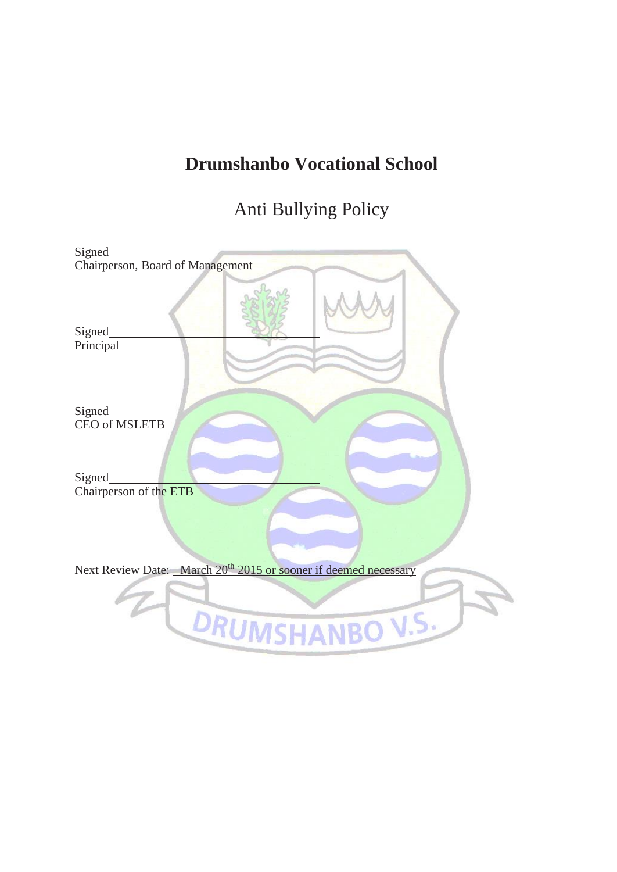## **Drumshanbo Vocational School**

Anti Bullying Policy

| Signed                                                                      |
|-----------------------------------------------------------------------------|
| Chairperson, Board of Management                                            |
| Signed<br>Principal                                                         |
| Signed                                                                      |
| <b>CEO</b> of MSLETB                                                        |
| <b>Signed</b>                                                               |
| Chairperson of the ETB                                                      |
|                                                                             |
| Next Review Date: March 20 <sup>th</sup> 2015 or sooner if deemed necessary |
| DRUMSHANBO V.S.                                                             |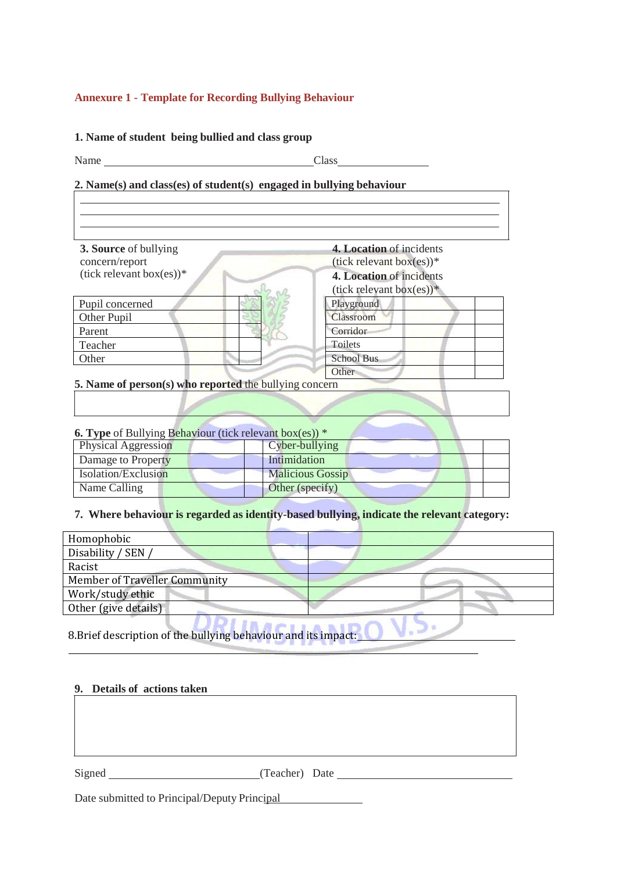### <span id="page-12-0"></span>**Annexure 1 - Template for Recording Bullying Behaviour**

#### **1. Name of student being bullied and class group**

Name Class

### **2. Name(s) and class(es) of student(s) engaged in bullying behaviour**

| 3. Source of bullying          | 4. Location of incidents       |
|--------------------------------|--------------------------------|
| concern/report                 | $(tick$ relevant box $(es))$ * |
| $(tick$ relevant box $(es))^*$ | 4. Location of incidents       |
|                                | $(tick$ relevant box $(es))^*$ |
| Pupil concerned                | Playground                     |
| Other Pupil                    | Classroom                      |
| Parent                         | Corridor                       |
| Teacher                        | Toilets                        |
| Other                          | <b>School Bus</b>              |
|                                | Other                          |

**5. Name of person(s) who reported** the bullying concern

| <b>6. Type</b> of Bullying Behaviour (tick relevant box(es)) * |  |
|----------------------------------------------------------------|--|
|----------------------------------------------------------------|--|

| Physical Aggression | Cyber-bullying          |
|---------------------|-------------------------|
| Damage to Property  | Intimidation            |
| Isolation/Exclusion | <b>Malicious Gossip</b> |
| Name Calling        | Other (specify)         |

### **7. Where behaviour is regarded as identity-based bullying, indicate the relevant category:**

| Homophobic                           |  |
|--------------------------------------|--|
| Disability / SEN /                   |  |
| Racist                               |  |
| <b>Member of Traveller Community</b> |  |
| Work/study ethic                     |  |
| Other (give details)                 |  |

 $\sqrt{.}$ 

8.Brief description of the bullying behaviour and its impact:

#### **9. Details of actions taken**

Signed (Teacher) Date

Date submitted to Principal/Deputy Principal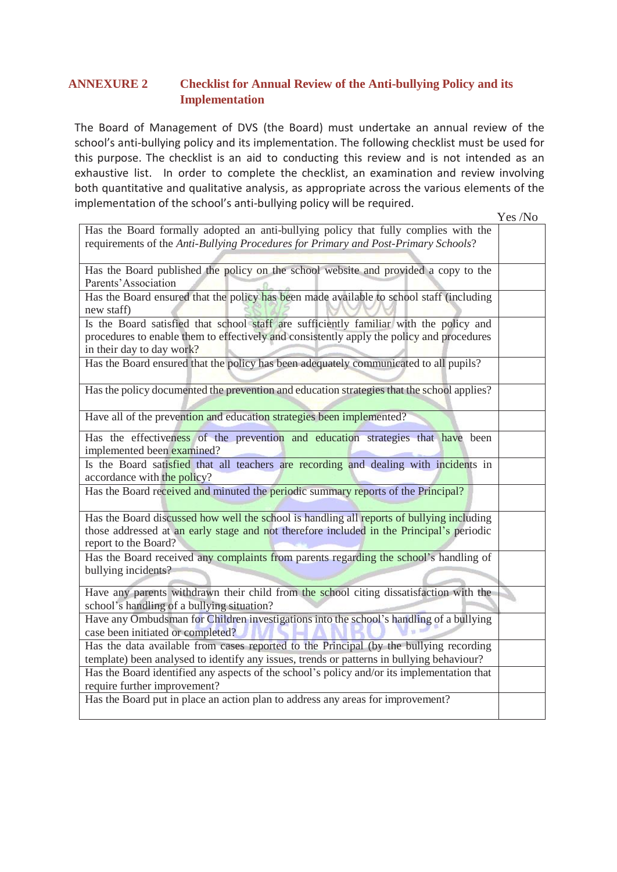### **ANNEXURE 2 Checklist for Annual Review of the Anti-bullying Policy and its Implementation**

The Board of Management of DVS (the Board) must undertake an annual review of the school's anti-bullying policy and its implementation. The following checklist must be used for this purpose. The checklist is an aid to conducting this review and is not intended as an exhaustive list. In order to complete the checklist, an examination and review involving both quantitative and qualitative analysis, as appropriate across the various elements of the implementation of the school's anti-bullying policy will be required.

Yes /No Has the Board formally adopted an anti-bullying policy that fully complies with the requirements of the *Anti-Bullying Procedures for Primary and Post-Primary Schools*? Has the Board published the policy on the school website and provided a copy to the Parents'Association Has the Board ensured that the policy has been made available to school staff (including new staff) Is the Board satisfied that school staff are sufficiently familiar with the policy and procedures to enable them to effectively and consistently apply the policy and procedures in their day to day work? Has the Board ensured that the policy has been adequately communicated to all pupils? Has the policy documented the prevention and education strategies that the school applies? Have all of the prevention and education strategies been implemented? Has the effectiveness of the prevention and education strategies that have been implemented been examined? Is the Board satisfied that all teachers are recording and dealing with incidents in accordance with the policy? Has the Board received and minuted the periodic summary reports of the Principal? Has the Board discussed how well the school is handling all reports of bullying including those addressed at an early stage and not therefore included in the Principal's periodic report to the Board? Has the Board received any complaints from parents regarding the school's handling of bullying incidents? Have any parents withdrawn their child from the school citing dissatisfaction with the Ÿ, school's handling of a bullying situation? Have any Ombudsman for Children investigations into the school's handling of a bullying case been initiated or completed? Has the data available from cases reported to the Principal (by the bullying recording template) been analysed to identify any issues, trends or patterns in bullying behaviour? Has the Board identified any aspects of the school's policy and/or its implementation that require further improvement? Has the Board put in place an action plan to address any areas for improvement?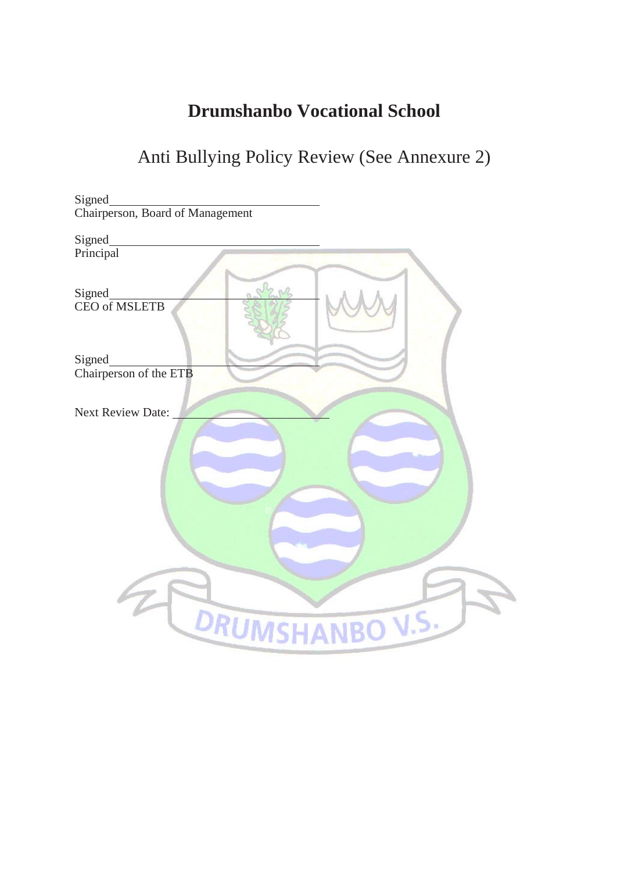### **Drumshanbo Vocational School**

## Anti Bullying Policy Review (See Annexure 2)

| Signed                           |
|----------------------------------|
| Chairperson, Board of Management |
| Signed                           |
| Principal                        |
| Signed<br>CEO of MSLETB          |
| Signed                           |
| Chairperson of the ETB           |
| <b>Next Review Date:</b>         |
| DRUMSHANBO V.S.                  |